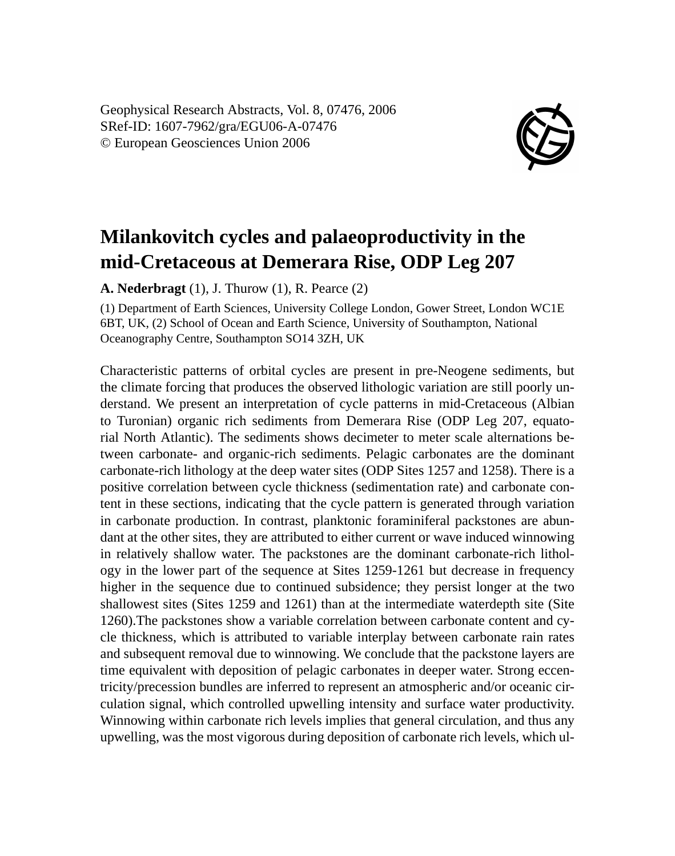Geophysical Research Abstracts, Vol. 8, 07476, 2006 SRef-ID: 1607-7962/gra/EGU06-A-07476 © European Geosciences Union 2006



## **Milankovitch cycles and palaeoproductivity in the mid-Cretaceous at Demerara Rise, ODP Leg 207**

**A. Nederbragt** (1), J. Thurow (1), R. Pearce (2)

(1) Department of Earth Sciences, University College London, Gower Street, London WC1E 6BT, UK, (2) School of Ocean and Earth Science, University of Southampton, National Oceanography Centre, Southampton SO14 3ZH, UK

Characteristic patterns of orbital cycles are present in pre-Neogene sediments, but the climate forcing that produces the observed lithologic variation are still poorly understand. We present an interpretation of cycle patterns in mid-Cretaceous (Albian to Turonian) organic rich sediments from Demerara Rise (ODP Leg 207, equatorial North Atlantic). The sediments shows decimeter to meter scale alternations between carbonate- and organic-rich sediments. Pelagic carbonates are the dominant carbonate-rich lithology at the deep water sites (ODP Sites 1257 and 1258). There is a positive correlation between cycle thickness (sedimentation rate) and carbonate content in these sections, indicating that the cycle pattern is generated through variation in carbonate production. In contrast, planktonic foraminiferal packstones are abundant at the other sites, they are attributed to either current or wave induced winnowing in relatively shallow water. The packstones are the dominant carbonate-rich lithology in the lower part of the sequence at Sites 1259-1261 but decrease in frequency higher in the sequence due to continued subsidence; they persist longer at the two shallowest sites (Sites 1259 and 1261) than at the intermediate waterdepth site (Site 1260).The packstones show a variable correlation between carbonate content and cycle thickness, which is attributed to variable interplay between carbonate rain rates and subsequent removal due to winnowing. We conclude that the packstone layers are time equivalent with deposition of pelagic carbonates in deeper water. Strong eccentricity/precession bundles are inferred to represent an atmospheric and/or oceanic circulation signal, which controlled upwelling intensity and surface water productivity. Winnowing within carbonate rich levels implies that general circulation, and thus any upwelling, was the most vigorous during deposition of carbonate rich levels, which ul